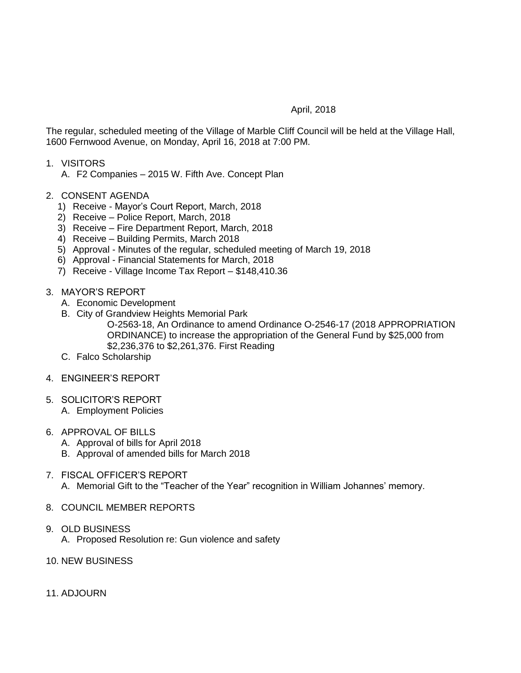## April, 2018

The regular, scheduled meeting of the Village of Marble Cliff Council will be held at the Village Hall, 1600 Fernwood Avenue, on Monday, April 16, 2018 at 7:00 PM.

- 1. VISITORS
	- A. F2 Companies 2015 W. Fifth Ave. Concept Plan
- 2. CONSENT AGENDA
	- 1) Receive Mayor's Court Report, March, 2018
	- 2) Receive Police Report, March, 2018
	- 3) Receive Fire Department Report, March, 2018
	- 4) Receive Building Permits, March 2018
	- 5) Approval Minutes of the regular, scheduled meeting of March 19, 2018
	- 6) Approval Financial Statements for March, 2018
	- 7) Receive Village Income Tax Report \$148,410.36
- 3. MAYOR'S REPORT
	- A. Economic Development
	- B. City of Grandview Heights Memorial Park
		- O-2563-18, An Ordinance to amend Ordinance O-2546-17 (2018 APPROPRIATION ORDINANCE) to increase the appropriation of the General Fund by \$25,000 from \$2,236,376 to \$2,261,376. First Reading
	- C. Falco Scholarship
- 4. ENGINEER'S REPORT
- 5. SOLICITOR'S REPORT A. Employment Policies
	-
- 6. APPROVAL OF BILLS
	- A. Approval of bills for April 2018
	- B. Approval of amended bills for March 2018
- 7. FISCAL OFFICER'S REPORT A. Memorial Gift to the "Teacher of the Year" recognition in William Johannes' memory.
- 8. COUNCIL MEMBER REPORTS
- 9. OLD BUSINESS
	- A. Proposed Resolution re: Gun violence and safety
- 10. NEW BUSINESS
- 11. ADJOURN